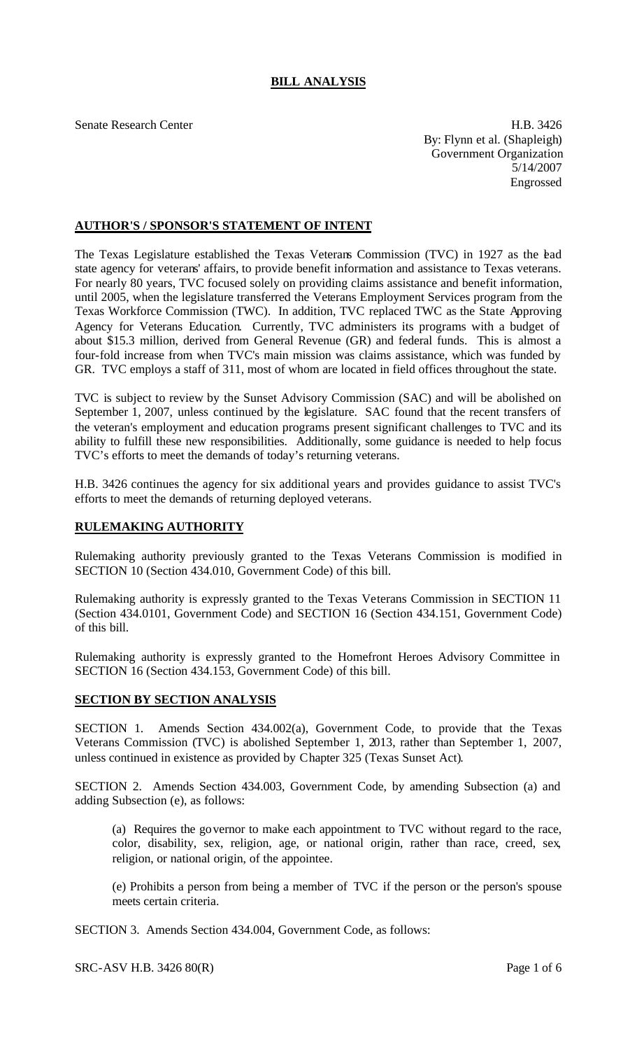# **BILL ANALYSIS**

Senate Research Center **H.B.** 3426 By: Flynn et al. (Shapleigh) Government Organization 5/14/2007 Engrossed

## **AUTHOR'S / SPONSOR'S STATEMENT OF INTENT**

The Texas Legislature established the Texas Veterans Commission (TVC) in 1927 as the ead state agency for veterans' affairs, to provide benefit information and assistance to Texas veterans. For nearly 80 years, TVC focused solely on providing claims assistance and benefit information, until 2005, when the legislature transferred the Veterans Employment Services program from the Texas Workforce Commission (TWC). In addition, TVC replaced TWC as the State Approving Agency for Veterans Education. Currently, TVC administers its programs with a budget of about \$15.3 million, derived from General Revenue (GR) and federal funds. This is almost a four-fold increase from when TVC's main mission was claims assistance, which was funded by GR. TVC employs a staff of 311, most of whom are located in field offices throughout the state.

TVC is subject to review by the Sunset Advisory Commission (SAC) and will be abolished on September 1, 2007, unless continued by the legislature. SAC found that the recent transfers of the veteran's employment and education programs present significant challenges to TVC and its ability to fulfill these new responsibilities. Additionally, some guidance is needed to help focus TVC's efforts to meet the demands of today's returning veterans.

H.B. 3426 continues the agency for six additional years and provides guidance to assist TVC's efforts to meet the demands of returning deployed veterans.

## **RULEMAKING AUTHORITY**

Rulemaking authority previously granted to the Texas Veterans Commission is modified in SECTION 10 (Section 434.010, Government Code) of this bill.

Rulemaking authority is expressly granted to the Texas Veterans Commission in SECTION 11 (Section 434.0101, Government Code) and SECTION 16 (Section 434.151, Government Code) of this bill.

Rulemaking authority is expressly granted to the Homefront Heroes Advisory Committee in SECTION 16 (Section 434.153, Government Code) of this bill.

#### **SECTION BY SECTION ANALYSIS**

SECTION 1. Amends Section 434.002(a), Government Code, to provide that the Texas Veterans Commission (TVC) is abolished September 1, 2013, rather than September 1, 2007, unless continued in existence as provided by Chapter 325 (Texas Sunset Act).

SECTION 2. Amends Section 434.003, Government Code, by amending Subsection (a) and adding Subsection (e), as follows:

(a) Requires the governor to make each appointment to TVC without regard to the race, color, disability, sex, religion, age, or national origin, rather than race, creed, sex, religion, or national origin, of the appointee.

(e) Prohibits a person from being a member of TVC if the person or the person's spouse meets certain criteria.

SECTION 3. Amends Section 434.004, Government Code, as follows: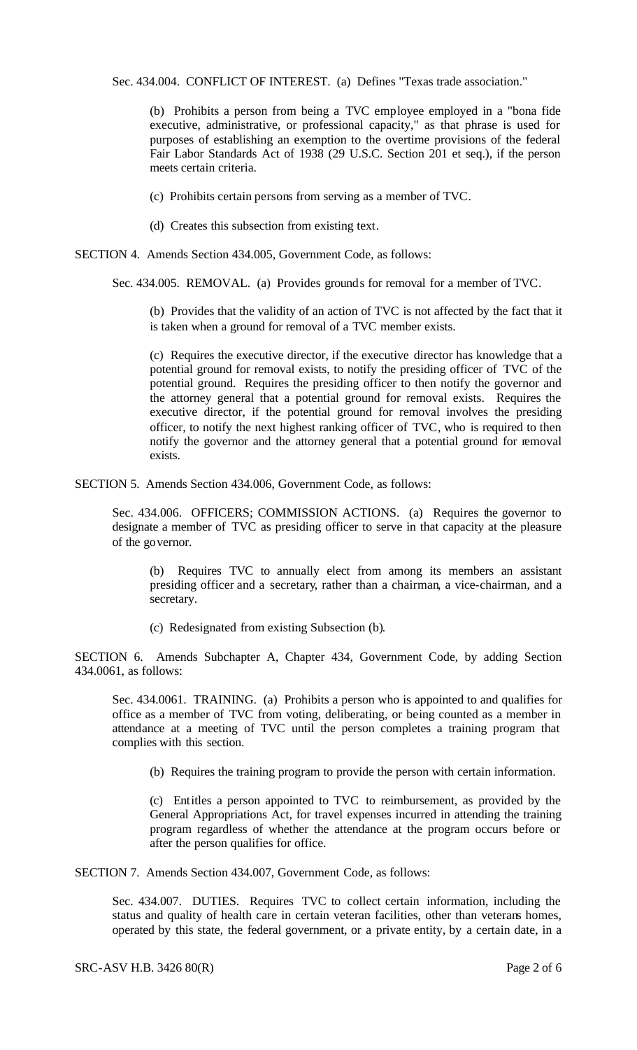Sec. 434.004. CONFLICT OF INTEREST. (a) Defines "Texas trade association."

(b) Prohibits a person from being a TVC employee employed in a "bona fide executive, administrative, or professional capacity," as that phrase is used for purposes of establishing an exemption to the overtime provisions of the federal Fair Labor Standards Act of 1938 (29 U.S.C. Section 201 et seq.), if the person meets certain criteria.

(c) Prohibits certain persons from serving as a member of TVC.

(d) Creates this subsection from existing text.

SECTION 4. Amends Section 434.005, Government Code, as follows:

Sec. 434.005. REMOVAL. (a) Provides grounds for removal for a member of TVC.

(b) Provides that the validity of an action of TVC is not affected by the fact that it is taken when a ground for removal of a TVC member exists.

(c) Requires the executive director, if the executive director has knowledge that a potential ground for removal exists, to notify the presiding officer of TVC of the potential ground. Requires the presiding officer to then notify the governor and the attorney general that a potential ground for removal exists. Requires the executive director, if the potential ground for removal involves the presiding officer, to notify the next highest ranking officer of TVC, who is required to then notify the governor and the attorney general that a potential ground for removal exists.

SECTION 5. Amends Section 434.006, Government Code, as follows:

Sec. 434.006. OFFICERS; COMMISSION ACTIONS. (a) Requires the governor to designate a member of TVC as presiding officer to serve in that capacity at the pleasure of the governor.

(b) Requires TVC to annually elect from among its members an assistant presiding officer and a secretary, rather than a chairman, a vice-chairman, and a secretary.

(c) Redesignated from existing Subsection (b).

SECTION 6. Amends Subchapter A, Chapter 434, Government Code, by adding Section 434.0061, as follows:

Sec. 434.0061. TRAINING. (a) Prohibits a person who is appointed to and qualifies for office as a member of TVC from voting, deliberating, or being counted as a member in attendance at a meeting of TVC until the person completes a training program that complies with this section.

(b) Requires the training program to provide the person with certain information.

(c) Entitles a person appointed to TVC to reimbursement, as provided by the General Appropriations Act, for travel expenses incurred in attending the training program regardless of whether the attendance at the program occurs before or after the person qualifies for office.

SECTION 7. Amends Section 434.007, Government Code, as follows:

Sec. 434.007. DUTIES. Requires TVC to collect certain information, including the status and quality of health care in certain veteran facilities, other than veterans homes, operated by this state, the federal government, or a private entity, by a certain date, in a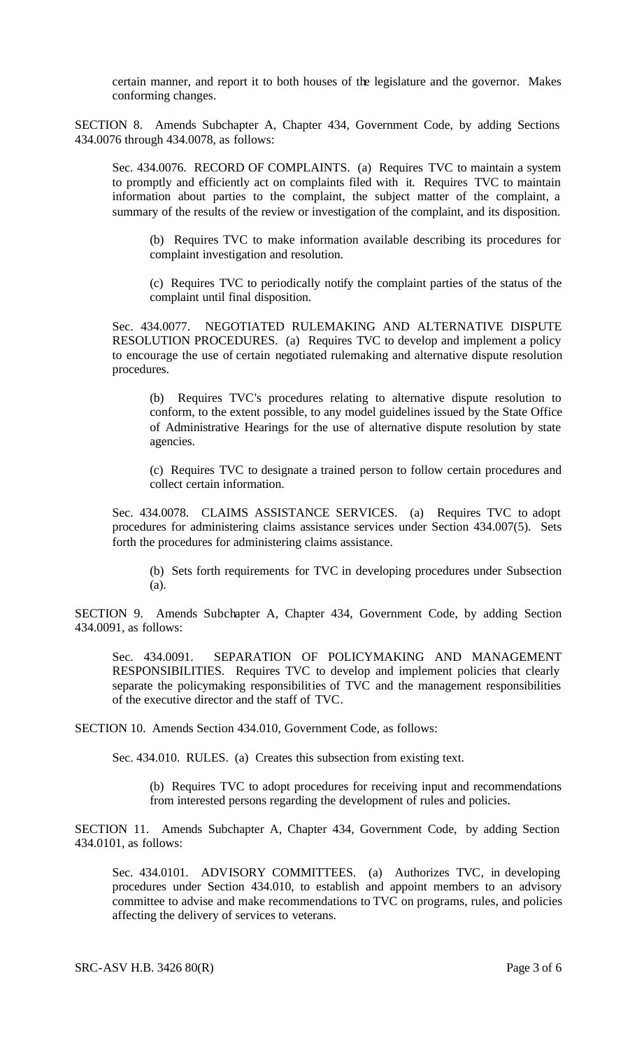certain manner, and report it to both houses of the legislature and the governor. Makes conforming changes.

SECTION 8. Amends Subchapter A, Chapter 434, Government Code, by adding Sections 434.0076 through 434.0078, as follows:

Sec. 434.0076. RECORD OF COMPLAINTS. (a) Requires TVC to maintain a system to promptly and efficiently act on complaints filed with it. Requires TVC to maintain information about parties to the complaint, the subject matter of the complaint, a summary of the results of the review or investigation of the complaint, and its disposition.

(b) Requires TVC to make information available describing its procedures for complaint investigation and resolution.

(c) Requires TVC to periodically notify the complaint parties of the status of the complaint until final disposition.

Sec. 434.0077. NEGOTIATED RULEMAKING AND ALTERNATIVE DISPUTE RESOLUTION PROCEDURES. (a) Requires TVC to develop and implement a policy to encourage the use of certain negotiated rulemaking and alternative dispute resolution procedures.

(b) Requires TVC's procedures relating to alternative dispute resolution to conform, to the extent possible, to any model guidelines issued by the State Office of Administrative Hearings for the use of alternative dispute resolution by state agencies.

(c) Requires TVC to designate a trained person to follow certain procedures and collect certain information.

Sec. 434.0078. CLAIMS ASSISTANCE SERVICES. (a) Requires TVC to adopt procedures for administering claims assistance services under Section 434.007(5). Sets forth the procedures for administering claims assistance.

(b) Sets forth requirements for TVC in developing procedures under Subsection (a).

SECTION 9. Amends Subchapter A, Chapter 434, Government Code, by adding Section 434.0091, as follows:

Sec. 434.0091. SEPARATION OF POLICYMAKING AND MANAGEMENT RESPONSIBILITIES. Requires TVC to develop and implement policies that clearly separate the policymaking responsibilities of TVC and the management responsibilities of the executive director and the staff of TVC.

SECTION 10. Amends Section 434.010, Government Code, as follows:

Sec. 434.010. RULES. (a) Creates this subsection from existing text.

(b) Requires TVC to adopt procedures for receiving input and recommendations from interested persons regarding the development of rules and policies.

SECTION 11. Amends Subchapter A, Chapter 434, Government Code, by adding Section 434.0101, as follows:

Sec. 434.0101. ADVISORY COMMITTEES. (a) Authorizes TVC, in developing procedures under Section 434.010, to establish and appoint members to an advisory committee to advise and make recommendations to TVC on programs, rules, and policies affecting the delivery of services to veterans.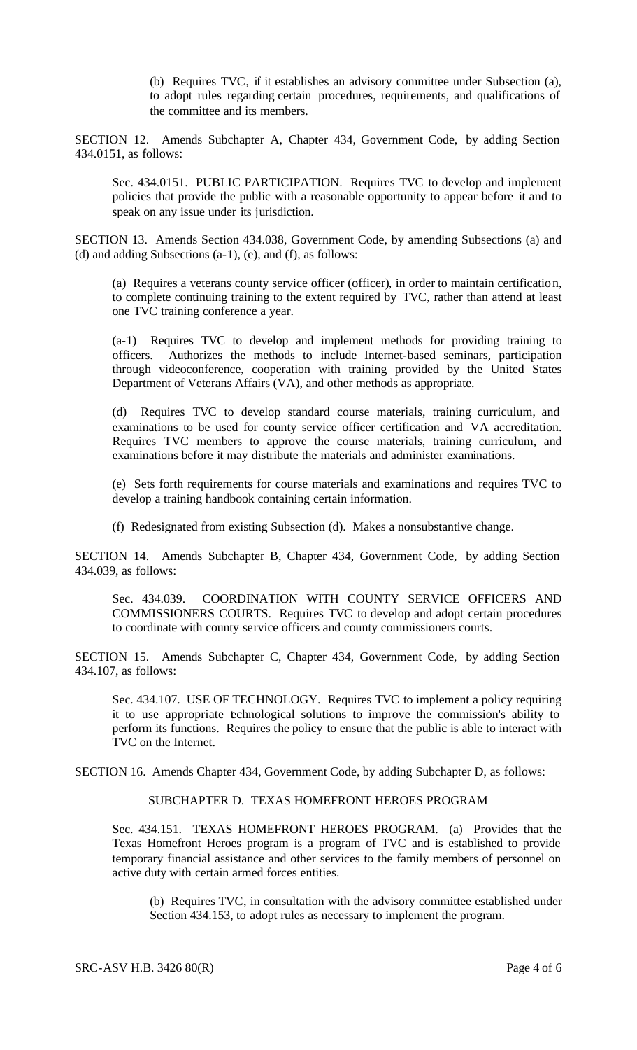(b) Requires TVC, if it establishes an advisory committee under Subsection (a), to adopt rules regarding certain procedures, requirements, and qualifications of the committee and its members.

SECTION 12. Amends Subchapter A, Chapter 434, Government Code, by adding Section 434.0151, as follows:

Sec. 434.0151. PUBLIC PARTICIPATION. Requires TVC to develop and implement policies that provide the public with a reasonable opportunity to appear before it and to speak on any issue under its jurisdiction.

SECTION 13. Amends Section 434.038, Government Code, by amending Subsections (a) and (d) and adding Subsections (a-1), (e), and (f), as follows:

(a) Requires a veterans county service officer (officer), in order to maintain certification, to complete continuing training to the extent required by TVC, rather than attend at least one TVC training conference a year.

(a-1) Requires TVC to develop and implement methods for providing training to officers. Authorizes the methods to include Internet-based seminars, participation through videoconference, cooperation with training provided by the United States Department of Veterans Affairs (VA), and other methods as appropriate.

(d) Requires TVC to develop standard course materials, training curriculum, and examinations to be used for county service officer certification and VA accreditation. Requires TVC members to approve the course materials, training curriculum, and examinations before it may distribute the materials and administer examinations.

(e) Sets forth requirements for course materials and examinations and requires TVC to develop a training handbook containing certain information.

(f) Redesignated from existing Subsection (d). Makes a nonsubstantive change.

SECTION 14. Amends Subchapter B, Chapter 434, Government Code, by adding Section 434.039, as follows:

Sec. 434.039. COORDINATION WITH COUNTY SERVICE OFFICERS AND COMMISSIONERS COURTS. Requires TVC to develop and adopt certain procedures to coordinate with county service officers and county commissioners courts.

SECTION 15. Amends Subchapter C, Chapter 434, Government Code, by adding Section 434.107, as follows:

Sec. 434.107. USE OF TECHNOLOGY. Requires TVC to implement a policy requiring it to use appropriate technological solutions to improve the commission's ability to perform its functions. Requires the policy to ensure that the public is able to interact with TVC on the Internet.

SECTION 16. Amends Chapter 434, Government Code, by adding Subchapter D, as follows:

#### SUBCHAPTER D. TEXAS HOMEFRONT HEROES PROGRAM

Sec. 434.151. TEXAS HOMEFRONT HEROES PROGRAM. (a) Provides that the Texas Homefront Heroes program is a program of TVC and is established to provide temporary financial assistance and other services to the family members of personnel on active duty with certain armed forces entities.

(b) Requires TVC, in consultation with the advisory committee established under Section 434.153, to adopt rules as necessary to implement the program.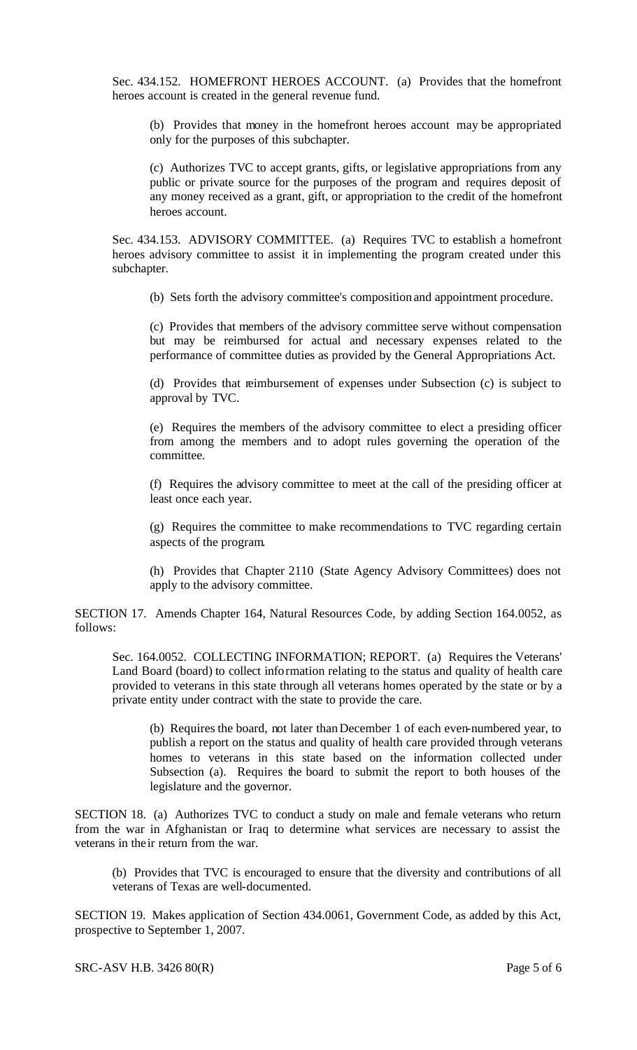Sec. 434.152. HOMEFRONT HEROES ACCOUNT. (a) Provides that the homefront heroes account is created in the general revenue fund.

(b) Provides that money in the homefront heroes account may be appropriated only for the purposes of this subchapter.

(c) Authorizes TVC to accept grants, gifts, or legislative appropriations from any public or private source for the purposes of the program and requires deposit of any money received as a grant, gift, or appropriation to the credit of the homefront heroes account.

Sec. 434.153. ADVISORY COMMITTEE. (a) Requires TVC to establish a homefront heroes advisory committee to assist it in implementing the program created under this subchapter.

(b) Sets forth the advisory committee's composition and appointment procedure.

(c) Provides that members of the advisory committee serve without compensation but may be reimbursed for actual and necessary expenses related to the performance of committee duties as provided by the General Appropriations Act.

(d) Provides that reimbursement of expenses under Subsection (c) is subject to approval by TVC.

(e) Requires the members of the advisory committee to elect a presiding officer from among the members and to adopt rules governing the operation of the committee.

(f) Requires the advisory committee to meet at the call of the presiding officer at least once each year.

(g) Requires the committee to make recommendations to TVC regarding certain aspects of the program.

(h) Provides that Chapter 2110 (State Agency Advisory Committees) does not apply to the advisory committee.

SECTION 17. Amends Chapter 164, Natural Resources Code, by adding Section 164.0052, as follows:

Sec. 164.0052. COLLECTING INFORMATION; REPORT. (a) Requires the Veterans' Land Board (board) to collect information relating to the status and quality of health care provided to veterans in this state through all veterans homes operated by the state or by a private entity under contract with the state to provide the care.

(b) Requires the board, not later than December 1 of each even-numbered year, to publish a report on the status and quality of health care provided through veterans homes to veterans in this state based on the information collected under Subsection (a). Requires the board to submit the report to both houses of the legislature and the governor.

SECTION 18. (a) Authorizes TVC to conduct a study on male and female veterans who return from the war in Afghanistan or Iraq to determine what services are necessary to assist the veterans in the ir return from the war.

(b) Provides that TVC is encouraged to ensure that the diversity and contributions of all veterans of Texas are well-documented.

SECTION 19. Makes application of Section 434.0061, Government Code, as added by this Act, prospective to September 1, 2007.